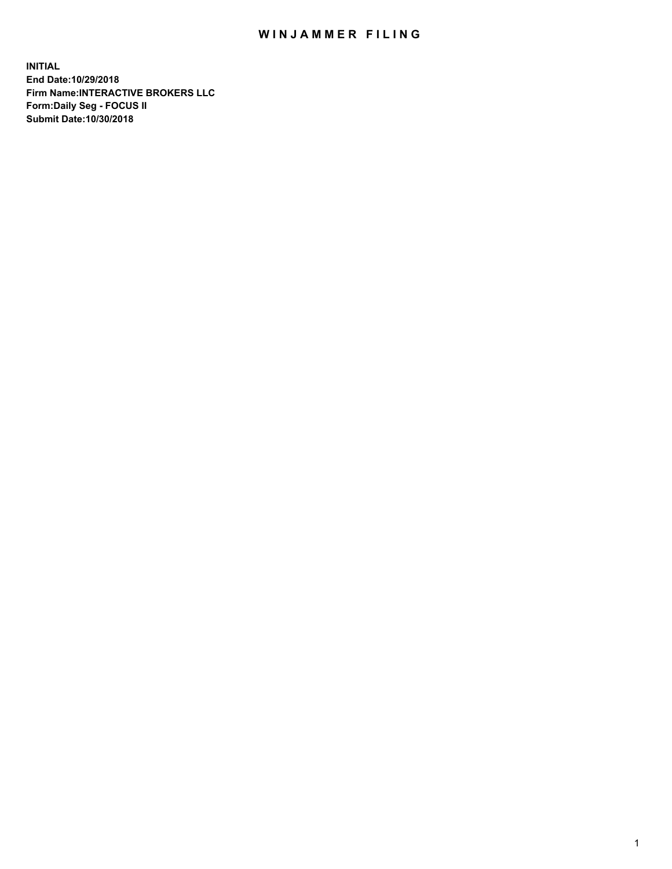## WIN JAMMER FILING

**INITIAL End Date:10/29/2018 Firm Name:INTERACTIVE BROKERS LLC Form:Daily Seg - FOCUS II Submit Date:10/30/2018**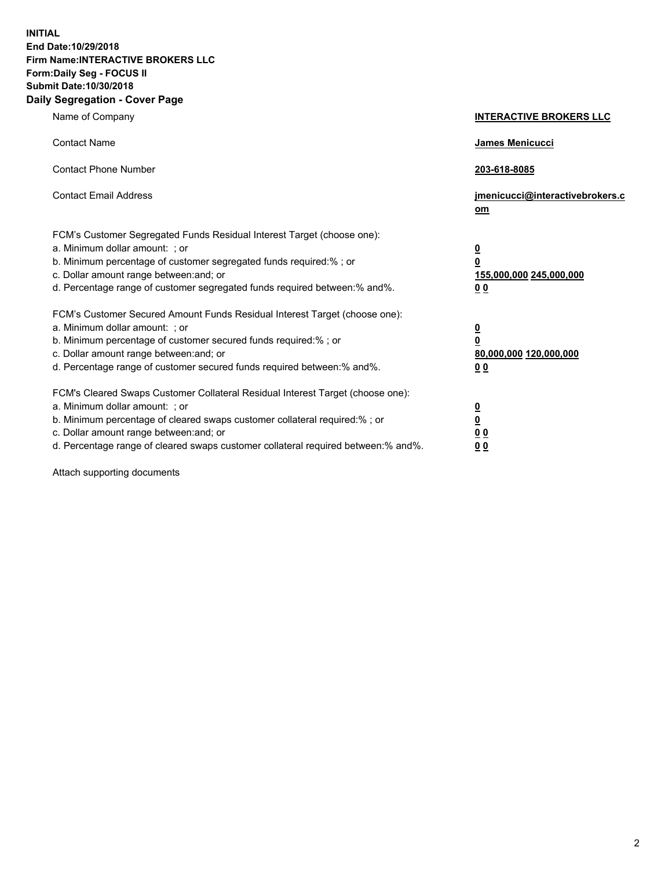**INITIAL End Date:10/29/2018 Firm Name:INTERACTIVE BROKERS LLC Form:Daily Seg - FOCUS II Submit Date:10/30/2018 Daily Segregation - Cover Page**

| Name of Company                                                                                                                                                                                                                                                                                                                | <b>INTERACTIVE BROKERS LLC</b>                                                                  |
|--------------------------------------------------------------------------------------------------------------------------------------------------------------------------------------------------------------------------------------------------------------------------------------------------------------------------------|-------------------------------------------------------------------------------------------------|
| <b>Contact Name</b>                                                                                                                                                                                                                                                                                                            | James Menicucci                                                                                 |
| <b>Contact Phone Number</b>                                                                                                                                                                                                                                                                                                    | 203-618-8085                                                                                    |
| <b>Contact Email Address</b>                                                                                                                                                                                                                                                                                                   | jmenicucci@interactivebrokers.c<br>om                                                           |
| FCM's Customer Segregated Funds Residual Interest Target (choose one):<br>a. Minimum dollar amount: ; or<br>b. Minimum percentage of customer segregated funds required:%; or<br>c. Dollar amount range between: and; or<br>d. Percentage range of customer segregated funds required between:% and%.                          | $\overline{\mathbf{0}}$<br>$\overline{\mathbf{0}}$<br>155,000,000 245,000,000<br>0 <sub>0</sub> |
| FCM's Customer Secured Amount Funds Residual Interest Target (choose one):<br>a. Minimum dollar amount: ; or<br>b. Minimum percentage of customer secured funds required:% ; or<br>c. Dollar amount range between: and; or<br>d. Percentage range of customer secured funds required between:% and%.                           | $\overline{\mathbf{0}}$<br>$\overline{\mathbf{0}}$<br>80,000,000 120,000,000<br>0 <sub>0</sub>  |
| FCM's Cleared Swaps Customer Collateral Residual Interest Target (choose one):<br>a. Minimum dollar amount: ; or<br>b. Minimum percentage of cleared swaps customer collateral required:% ; or<br>c. Dollar amount range between: and; or<br>d. Percentage range of cleared swaps customer collateral required between:% and%. | $\overline{\mathbf{0}}$<br>$\underline{\mathbf{0}}$<br>0 <sub>0</sub><br>0 <sub>0</sub>         |

Attach supporting documents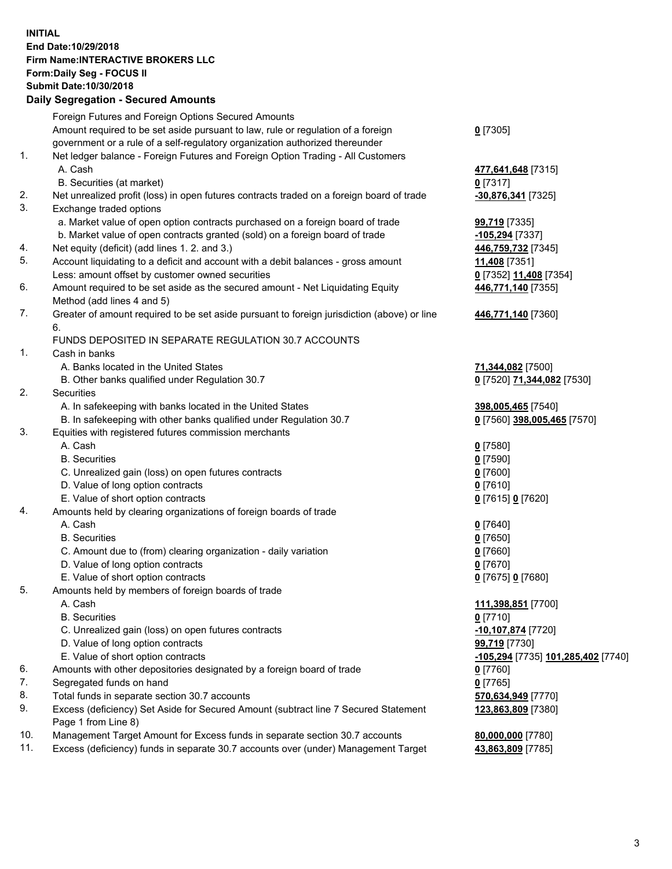## **INITIAL End Date:10/29/2018 Firm Name:INTERACTIVE BROKERS LLC Form:Daily Seg - FOCUS II Submit Date:10/30/2018 Daily Segregation - Secured Amounts**

|     | Daily Segregation - Secured Amounts                                                         |                                    |
|-----|---------------------------------------------------------------------------------------------|------------------------------------|
|     | Foreign Futures and Foreign Options Secured Amounts                                         |                                    |
|     | Amount required to be set aside pursuant to law, rule or regulation of a foreign            | $0$ [7305]                         |
|     | government or a rule of a self-regulatory organization authorized thereunder                |                                    |
| 1.  | Net ledger balance - Foreign Futures and Foreign Option Trading - All Customers             |                                    |
|     | A. Cash                                                                                     | 477,641,648 [7315]                 |
|     | B. Securities (at market)                                                                   | 0[7317]                            |
| 2.  | Net unrealized profit (loss) in open futures contracts traded on a foreign board of trade   | -30,876,341 [7325]                 |
| 3.  | Exchange traded options                                                                     |                                    |
|     | a. Market value of open option contracts purchased on a foreign board of trade              | <b>99,719</b> [7335]               |
|     | b. Market value of open contracts granted (sold) on a foreign board of trade                | -105,294 [7337]                    |
| 4.  | Net equity (deficit) (add lines 1.2. and 3.)                                                | 446,759,732 [7345]                 |
| 5.  | Account liquidating to a deficit and account with a debit balances - gross amount           | 11,408 [7351]                      |
|     | Less: amount offset by customer owned securities                                            | 0 [7352] 11,408 [7354]             |
| 6.  | Amount required to be set aside as the secured amount - Net Liquidating Equity              | 446,771,140 [7355]                 |
|     | Method (add lines 4 and 5)                                                                  |                                    |
| 7.  | Greater of amount required to be set aside pursuant to foreign jurisdiction (above) or line | 446,771,140 [7360]                 |
|     | 6.                                                                                          |                                    |
|     | FUNDS DEPOSITED IN SEPARATE REGULATION 30.7 ACCOUNTS                                        |                                    |
| 1.  | Cash in banks                                                                               |                                    |
|     | A. Banks located in the United States                                                       | 71,344,082 [7500]                  |
|     | B. Other banks qualified under Regulation 30.7                                              | 0 [7520] 71,344,082 [7530]         |
| 2.  | Securities                                                                                  |                                    |
|     | A. In safekeeping with banks located in the United States                                   | 398,005,465 [7540]                 |
|     | B. In safekeeping with other banks qualified under Regulation 30.7                          | 0 [7560] 398,005,465 [7570]        |
| 3.  | Equities with registered futures commission merchants                                       |                                    |
|     | A. Cash                                                                                     | $0$ [7580]                         |
|     | <b>B.</b> Securities                                                                        | $0$ [7590]                         |
|     | C. Unrealized gain (loss) on open futures contracts                                         | $0$ [7600]                         |
|     | D. Value of long option contracts                                                           | $0$ [7610]                         |
|     | E. Value of short option contracts                                                          | 0 [7615] 0 [7620]                  |
| 4.  | Amounts held by clearing organizations of foreign boards of trade                           |                                    |
|     | A. Cash                                                                                     | $0$ [7640]                         |
|     | <b>B.</b> Securities                                                                        | $0$ [7650]                         |
|     | C. Amount due to (from) clearing organization - daily variation                             | $0$ [7660]                         |
|     | D. Value of long option contracts                                                           | $0$ [7670]                         |
|     | E. Value of short option contracts                                                          | 0 [7675] 0 [7680]                  |
| 5.  | Amounts held by members of foreign boards of trade                                          |                                    |
|     | A. Cash                                                                                     | 111,398,851 [7700]                 |
|     | <b>B.</b> Securities                                                                        | $0$ [7710]                         |
|     | C. Unrealized gain (loss) on open futures contracts                                         | $-10,107,874$ [7720]               |
|     | D. Value of long option contracts                                                           | 99,719 [7730]                      |
|     | E. Value of short option contracts                                                          | -105,294 [7735] 101,285,402 [7740] |
| 6.  |                                                                                             |                                    |
| 7.  | Amounts with other depositories designated by a foreign board of trade                      | $0$ [7760]                         |
| 8.  | Segregated funds on hand                                                                    | $0$ [7765]                         |
|     | Total funds in separate section 30.7 accounts                                               | 570,634,949 [7770]                 |
| 9.  | Excess (deficiency) Set Aside for Secured Amount (subtract line 7 Secured Statement         | 123,863,809 [7380]                 |
| 10. | Page 1 from Line 8)                                                                         |                                    |
| 11. | Management Target Amount for Excess funds in separate section 30.7 accounts                 | 80,000,000 [7780]                  |
|     | Excess (deficiency) funds in separate 30.7 accounts over (under) Management Target          | 43,863,809 [7785]                  |
|     |                                                                                             |                                    |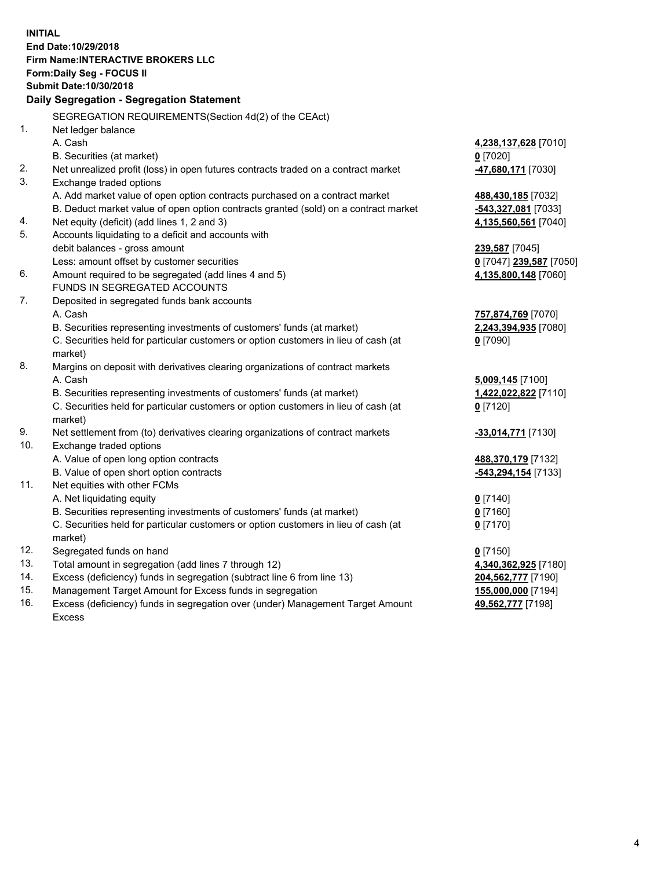**INITIAL End Date:10/29/2018 Firm Name:INTERACTIVE BROKERS LLC Form:Daily Seg - FOCUS II Submit Date:10/30/2018 Daily Segregation - Segregation Statement** SEGREGATION REQUIREMENTS(Section 4d(2) of the CEAct) 1. Net ledger balance A. Cash **4,238,137,628** [7010] B. Securities (at market) **0** [7020] 2. Net unrealized profit (loss) in open futures contracts traded on a contract market **-47,680,171** [7030] 3. Exchange traded options A. Add market value of open option contracts purchased on a contract market **488,430,185** [7032] B. Deduct market value of open option contracts granted (sold) on a contract market **-543,327,081** [7033] 4. Net equity (deficit) (add lines 1, 2 and 3) **4,135,560,561** [7040] 5. Accounts liquidating to a deficit and accounts with debit balances - gross amount **239,587** [7045] Less: amount offset by customer securities **0** [7047] **239,587** [7050] 6. Amount required to be segregated (add lines 4 and 5) **4,135,800,148** [7060] FUNDS IN SEGREGATED ACCOUNTS 7. Deposited in segregated funds bank accounts A. Cash **757,874,769** [7070] B. Securities representing investments of customers' funds (at market) **2,243,394,935** [7080] C. Securities held for particular customers or option customers in lieu of cash (at market) **0** [7090] 8. Margins on deposit with derivatives clearing organizations of contract markets A. Cash **5,009,145** [7100] B. Securities representing investments of customers' funds (at market) **1,422,022,822** [7110] C. Securities held for particular customers or option customers in lieu of cash (at market) **0** [7120] 9. Net settlement from (to) derivatives clearing organizations of contract markets **-33,014,771** [7130] 10. Exchange traded options A. Value of open long option contracts **488,370,179** [7132] B. Value of open short option contracts **-543,294,154** [7133] 11. Net equities with other FCMs A. Net liquidating equity **0** [7140] B. Securities representing investments of customers' funds (at market) **0** [7160] C. Securities held for particular customers or option customers in lieu of cash (at market) **0** [7170] 12. Segregated funds on hand **0** [7150] 13. Total amount in segregation (add lines 7 through 12) **4,340,362,925** [7180] 14. Excess (deficiency) funds in segregation (subtract line 6 from line 13) **204,562,777** [7190] 15. Management Target Amount for Excess funds in segregation **155,000,000** [7194] 16. Excess (deficiency) funds in segregation over (under) Management Target Amount **49,562,777** [7198]

Excess

4